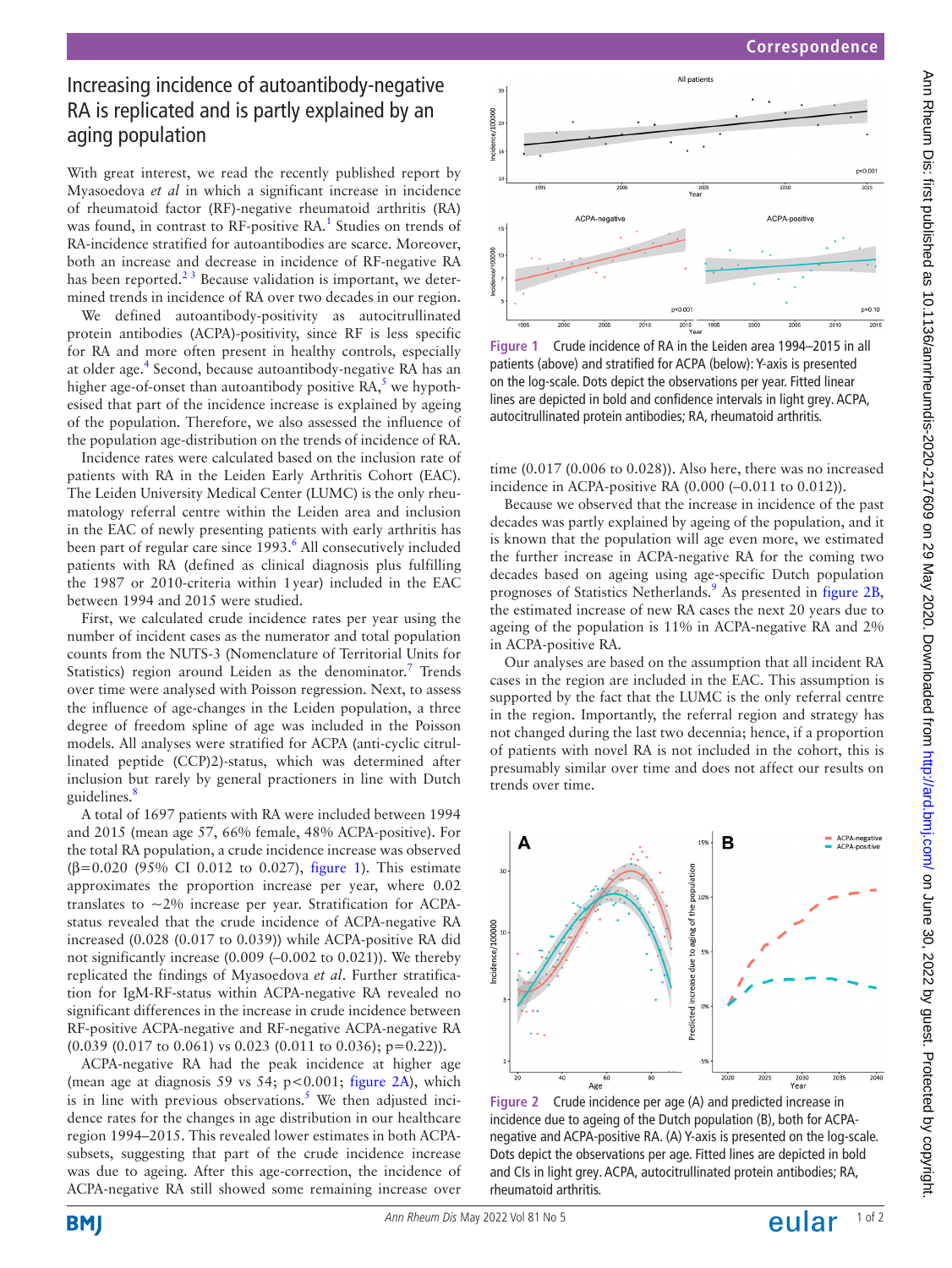# Increasing incidence of autoantibody-negative RA is replicated and is partly explained by an aging population

With great interest, we read the recently published report by Myasoedova *et al* in which a significant increase in incidence of rheumatoid factor (RF)-negative rheumatoid arthritis (RA) was found, in contrast to RF-positive RA.<sup>1</sup> Studies on trends of RA-incidence stratified for autoantibodies are scarce. Moreover, both an increase and decrease in incidence of RF-negative RA has been reported.<sup>23</sup> Because validation is important, we determined trends in incidence of RA over two decades in our region.

We defined autoantibody-positivity as autocitrullinated protein antibodies (ACPA)-positivity, since RF is less specific for RA and more often present in healthy controls, especially at older age.<sup>[4](#page-1-2)</sup> Second, because autoantibody-negative RA has an higher age-of-onset than autoantibody positive  $\mathsf{RA},^5$  $\mathsf{RA},^5$  we hypothesised that part of the incidence increase is explained by ageing of the population. Therefore, we also assessed the influence of the population age-distribution on the trends of incidence of RA.

Incidence rates were calculated based on the inclusion rate of patients with RA in the Leiden Early Arthritis Cohort (EAC). The Leiden University Medical Center (LUMC) is the only rheumatology referral centre within the Leiden area and inclusion in the EAC of newly presenting patients with early arthritis has been part of regular care since 1993.<sup>[6](#page-1-4)</sup> All consecutively included patients with RA (defined as clinical diagnosis plus fulfilling the 1987 or 2010-criteria within 1year) included in the EAC between 1994 and 2015 were studied.

First, we calculated crude incidence rates per year using the number of incident cases as the numerator and total population counts from the NUTS-3 (Nomenclature of Territorial Units for Statistics) region around Leiden as the denominator.<sup>[7](#page-1-5)</sup> Trends over time were analysed with Poisson regression. Next, to assess the influence of age-changes in the Leiden population, a three degree of freedom spline of age was included in the Poisson models. All analyses were stratified for ACPA (anti-cyclic citrullinated peptide (CCP)2)-status, which was determined after inclusion but rarely by general practioners in line with Dutch guidelines.<sup>8</sup>

A total of 1697 patients with RA were included between 1994 and 2015 (mean age 57, 66% female, 48% ACPA-positive). For the total RA population, a crude incidence increase was observed  $(β=0.020 (95%)$  CI 0.012 to 0.027), [figure](#page-0-0) 1). This estimate approximates the proportion increase per year, where 0.02 translates to  $\sim$ 2% increase per year. Stratification for ACPAstatus revealed that the crude incidence of ACPA-negative RA increased (0.028 (0.017 to 0.039)) while ACPA-positive RA did not significantly increase (0.009 (–0.002 to 0.021)). We thereby replicated the findings of Myasoedova *et al*. Further stratification for IgM-RF-status within ACPA-negative RA revealed no significant differences in the increase in crude incidence between RF-positive ACPA-negative and RF-negative ACPA-negative RA (0.039 (0.017 to 0.061) vs 0.023 (0.011 to 0.036); p=0.22)).

ACPA-negative RA had the peak incidence at higher age (mean age at diagnosis 59 vs 54; p<0.001; [figure](#page-0-1) 2A), which is in line with previous observations.<sup>[5](#page-1-3)</sup> We then adjusted incidence rates for the changes in age distribution in our healthcare region 1994–2015. This revealed lower estimates in both ACPAsubsets, suggesting that part of the crude incidence increase was due to ageing. After this age-correction, the incidence of ACPA-negative RA still showed some remaining increase over



<span id="page-0-0"></span>**Figure 1** Crude incidence of RA in the Leiden area 1994–2015 in all patients (above) and stratified for ACPA (below): Y-axis is presented on the log-scale. Dots depict the observations per year. Fitted linear lines are depicted in bold and confidence intervals in light grey. ACPA, autocitrullinated protein antibodies; RA, rheumatoid arthritis.

time (0.017 (0.006 to 0.028)). Also here, there was no increased incidence in ACPA-positive RA (0.000 (–0.011 to 0.012)).

Because we observed that the increase in incidence of the past decades was partly explained by ageing of the population, and it is known that the population will age even more, we estimated the further increase in ACPA-negative RA for the coming two decades based on ageing using age-specific Dutch population prognoses of Statistics Netherlands.<sup>9</sup> As presented in [figure](#page-0-1) 2B, the estimated increase of new RA cases the next 20 years due to ageing of the population is 11% in ACPA-negative RA and 2% in ACPA-positive RA.

Our analyses are based on the assumption that all incident RA cases in the region are included in the EAC. This assumption is supported by the fact that the LUMC is the only referral centre in the region. Importantly, the referral region and strategy has not changed during the last two decennia; hence, if a proportion of patients with novel RA is not included in the cohort, this is presumably similar over time and does not affect our results on trends over time.



<span id="page-0-1"></span>**Figure 2** Crude incidence per age (A) and predicted increase in incidence due to ageing of the Dutch population (B), both for ACPAnegative and ACPA-positive RA. (A) Y-axis is presented on the log-scale. Dots depict the observations per age. Fitted lines are depicted in bold and CIs in light grey. ACPA, autocitrullinated protein antibodies; RA, rheumatoid arthritis.